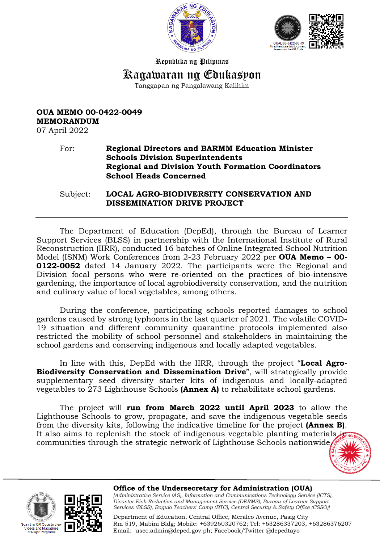



Republika ng Pilipinas

# Kagawaran ng Edukasyon

Tanggapan ng Pangalawang Kalihim

# **OUA MEMO 00-0422-0049 MEMORANDUM**

07 April 2022

#### For: **Regional Directors and BARMM Education Minister Schools Division Superintendents Regional and Division Youth Formation Coordinators School Heads Concerned**

Subject: **LOCAL AGRO-BIODIVERSITY CONSERVATION AND DISSEMINATION DRIVE PROJECT** 

The Department of Education (DepEd), through the Bureau of Learner Support Services (BLSS) in partnership with the International Institute of Rural Reconstruction (IIRR), conducted 16 batches of Online Integrated School Nutrition Model (ISNM) Work Conferences from 2-23 February 2022 per **OUA Memo – 00- 0122-0052** dated 14 January 2022. The participants were the Regional and Division focal persons who were re-oriented on the practices of bio-intensive gardening, the importance of local agrobiodiversity conservation, and the nutrition and culinary value of local vegetables, among others.

During the conference, participating schools reported damages to school gardens caused by strong typhoons in the last quarter of 2021. The volatile COVID-19 situation and different community quarantine protocols implemented also restricted the mobility of school personnel and stakeholders in maintaining the school gardens and conserving indigenous and locally adapted vegetables.

In line with this, DepEd with the IIRR, through the project "**Local Agro-Biodiversity Conservation and Dissemination Drive**", will strategically provide supplementary seed diversity starter kits of indigenous and locally-adapted vegetables to 273 Lighthouse Schools **(Annex A)** to rehabilitate school gardens.

The project will **run from March 2022 until April 2023** to allow the Lighthouse Schools to grow, propagate, and save the indigenous vegetable seeds from the diversity kits, following the indicative timeline for the project **(Annex B)**. It also aims to replenish the stock of indigenous vegetable planting materials  $\mathbf{H}$ communities through the strategic network of Lighthouse Schools nationwide.







**Office of the Undersecretary for Administration (OUA)** *[Administrative Service (AS), Information and Communications Technology Service (ICTS), Disaster Risk Reduction and Management Service (DRRMS), Bureau of Learner Support* 

*Services (BLSS), Baguio Teachers' Camp (BTC), Central Security & Safety Office (CSSO)]*

Department of Education, Central Office, Meralco Avenue, Pasig City Rm 519, Mabini Bldg; Mobile: +639260320762; Tel: +63286337203, +63286376207 Email: [usec.admin@deped.gov.ph;](mailto:usec.admin@deped.gov.ph) Facebook/Twitter @depedtayo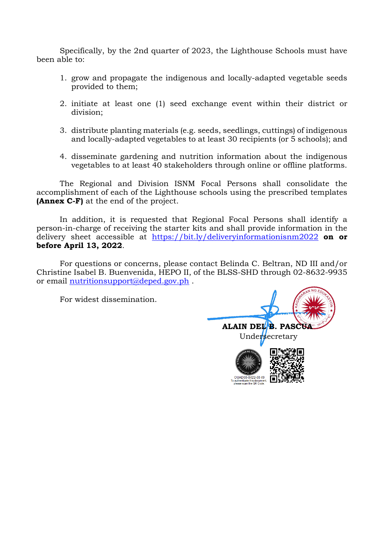Specifically, by the 2nd quarter of 2023, the Lighthouse Schools must have been able to:

- 1. grow and propagate the indigenous and locally-adapted vegetable seeds provided to them;
- 2. initiate at least one (1) seed exchange event within their district or division;
- 3. distribute planting materials (e.g. seeds, seedlings, cuttings) of indigenous and locally-adapted vegetables to at least 30 recipients (or 5 schools); and
- 4. disseminate gardening and nutrition information about the indigenous vegetables to at least 40 stakeholders through online or offline platforms.

 The Regional and Division ISNM Focal Persons shall consolidate the accomplishment of each of the Lighthouse schools using the prescribed templates **(Annex C-F)** at the end of the project.

In addition, it is requested that Regional Focal Persons shall identify a person-in-charge of receiving the starter kits and shall provide information in the delivery sheet accessible at <https://bit.ly/deliveryinformationisnm2022> **on or before April 13, 2022**.

 For questions or concerns, please contact Belinda C. Beltran, ND III and/or Christine Isabel B. Buenvenida, HEPO II, of the BLSS-SHD through 02-8632-9935 or email nutritionsupport@deped.gov.ph.

For widest dissemination.

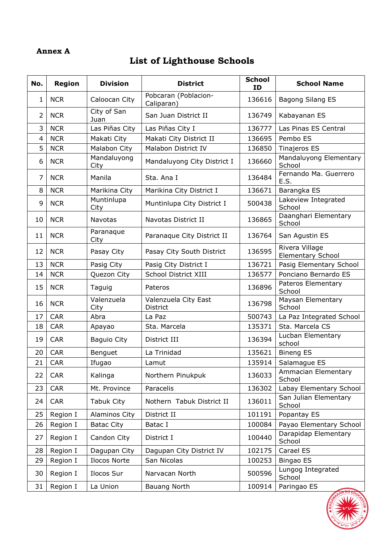#### **Annex A**

# **List of Lighthouse Schools**

| No.            | <b>Region</b> | <b>Division</b>     | <b>District</b>                    | <b>School</b><br><b>ID</b> | <b>School Name</b>                         |  |
|----------------|---------------|---------------------|------------------------------------|----------------------------|--------------------------------------------|--|
| $\mathbf{1}$   | <b>NCR</b>    | Caloocan City       | Pobcaran (Poblacion-<br>Caliparan) | 136616                     | Bagong Silang ES                           |  |
| $\overline{2}$ | <b>NCR</b>    | City of San<br>Juan | San Juan District II               | 136749                     | Kabayanan ES                               |  |
| 3              | <b>NCR</b>    | Las Piñas City      | Las Piñas City I                   | 136777                     | Las Pinas ES Central                       |  |
| 4              | <b>NCR</b>    | Makati City         | Makati City District II            | 136695                     | Pembo ES                                   |  |
| 5              | <b>NCR</b>    | Malabon City        | Malabon District IV                | 136850                     | <b>Tinajeros ES</b>                        |  |
| 6              | <b>NCR</b>    | Mandaluyong<br>City | Mandaluyong City District I        | 136660                     | Mandaluyong Elementary<br>School           |  |
| 7              | <b>NCR</b>    | Manila              | Sta. Ana I                         | 136484                     | Fernando Ma. Guerrero<br>E.S.              |  |
| 8              | <b>NCR</b>    | Marikina City       | Marikina City District I           | 136671                     | Barangka ES                                |  |
| 9              | <b>NCR</b>    | Muntinlupa<br>City  | Muntinlupa City District I         | 500438                     | Lakeview Integrated<br>School              |  |
| 10             | <b>NCR</b>    | <b>Navotas</b>      | Navotas District II                | 136865                     | Daanghari Elementary<br>School             |  |
| 11             | <b>NCR</b>    | Paranaque<br>City   | Paranaque City District II         | 136764                     | San Agustin ES                             |  |
| 12             | <b>NCR</b>    | Pasay City          | Pasay City South District          | 136595                     | Rivera Village<br><b>Elementary School</b> |  |
| 13             | <b>NCR</b>    | Pasig City          | Pasig City District I              | 136721                     | Pasig Elementary School                    |  |
| 14             | <b>NCR</b>    | Quezon City         | School District XIII               | 136577                     | Ponciano Bernardo ES                       |  |
| 15             | <b>NCR</b>    | Taguig              | Pateros                            | 136896                     | Pateros Elementary<br>School               |  |
| 16             | <b>NCR</b>    | Valenzuela<br>City  | Valenzuela City East<br>District   | 136798                     | Maysan Elementary<br>School                |  |
| 17             | <b>CAR</b>    | Abra                | La Paz                             | 500743                     | La Paz Integrated School                   |  |
| 18             | <b>CAR</b>    | Apayao              | Sta. Marcela                       | 135371                     | Sta. Marcela CS                            |  |
| 19             | <b>CAR</b>    | Baguio City         | District III                       | 136394                     | Lucban Elementary<br>school                |  |
| 20             | <b>CAR</b>    | Benguet             | La Trinidad                        | 135621                     | <b>Bineng ES</b>                           |  |
| 21             | <b>CAR</b>    | Ifugao              | Lamut                              | 135914                     | Salamague ES                               |  |
| 22             | <b>CAR</b>    | Kalinga             | Northern Pinukpuk                  | 136033                     | Ammacian Elementary<br>School              |  |
| 23             | <b>CAR</b>    | Mt. Province        | Paracelis                          | 136302                     | Labay Elementary School                    |  |
| 24             | <b>CAR</b>    | Tabuk City          | Nothern Tabuk District II          | 136011                     | San Julian Elementary<br>School            |  |
| 25             | Region I      | Alaminos City       | District II                        | 101191                     | Popantay ES                                |  |
| 26             | Region I      | <b>Batac City</b>   | Batac I                            | 100084                     | Payao Elementary School                    |  |
| 27             | Region I      | Candon City         | District I                         | 100440                     | Darapidap Elementary<br>School             |  |
| 28             | Region I      | Dagupan City        | Dagupan City District IV           | 102175                     | Carael ES                                  |  |
| 29             | Region I      | Ilocos Norte        | San Nicolas                        | 100253                     | Bingao ES                                  |  |
| 30             | Region I      | Ilocos Sur          | Narvacan North                     | 500596                     | Lungog Integrated<br>School                |  |
| 31             | Region I      | La Union            | <b>Bauang North</b>                | Paringao ES<br>100914      |                                            |  |

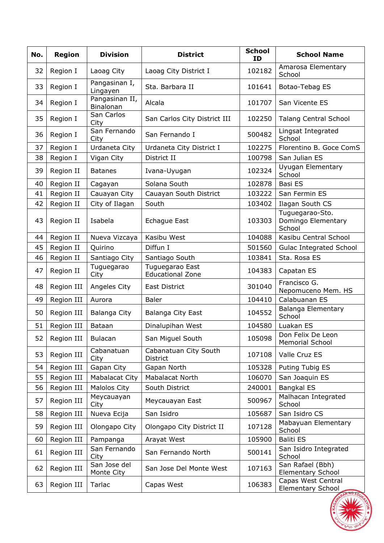| No. | <b>Region</b> | <b>Division</b>             | <b>District</b>                            | <b>School</b><br>ID | <b>School Name</b>                              |  |
|-----|---------------|-----------------------------|--------------------------------------------|---------------------|-------------------------------------------------|--|
| 32  | Region I      | Laoag City                  | Laoag City District I                      | 102182              | Amarosa Elementary<br>School                    |  |
| 33  | Region I      | Pangasinan I,<br>Lingayen   | Sta. Barbara II                            | 101641              | Botao-Tebag ES                                  |  |
| 34  | Region I      | Pangasinan II,<br>Binalonan | Alcala                                     | 101707              | San Vicente ES                                  |  |
| 35  | Region I      | San Carlos<br>City          | San Carlos City District III               | 102250              | <b>Talang Central School</b>                    |  |
| 36  | Region I      | San Fernando<br>City        | San Fernando I                             | 500482              | Lingsat Integrated<br>School                    |  |
| 37  | Region I      | Urdaneta City               | Urdaneta City District I                   | 102275              | Florentino B. Goce ComS                         |  |
| 38  | Region I      | Vigan City                  | District II                                | 100798              | San Julian ES                                   |  |
| 39  | Region II     | <b>Batanes</b>              | Ivana-Uyugan                               | 102324              | Uyugan Elementary<br>School                     |  |
| 40  | Region II     | Cagayan                     | Solana South                               | 102878              | Basi ES                                         |  |
| 41  | Region II     | Cauayan City                | Cauayan South District                     | 103222              | San Fermin ES                                   |  |
| 42  | Region II     | City of Ilagan              | South                                      | 103402              | Ilagan South CS                                 |  |
| 43  | Region II     | Isabela                     | <b>Echague East</b>                        | 103303              | Tuguegarao-Sto.<br>Domingo Elementary<br>School |  |
| 44  | Region II     | Nueva Vizcaya               | Kasibu West                                | 104088              | Kasibu Central School                           |  |
| 45  | Region II     | Quirino                     | Diffun I                                   | 501560              | <b>Gulac Integrated School</b>                  |  |
| 46  | Region II     | Santiago City               | Santiago South                             | 103841              | Sta. Rosa ES                                    |  |
| 47  | Region II     | Tuguegarao<br>City          | Tuguegarao East<br><b>Educational Zone</b> | 104383              | Capatan ES                                      |  |
| 48  | Region III    | Angeles City                | East District                              | 301040              | Francisco G.<br>Nepomuceno Mem. HS              |  |
| 49  | Region III    | Aurora                      | <b>Baler</b>                               | 104410              | Calabuanan ES                                   |  |
| 50  | Region III    | Balanga City                | Balanga City East                          | 104552              | Balanga Elementary<br>School                    |  |
| 51  | Region III    | Bataan                      | Dinalupihan West                           | 104580              | Luakan ES                                       |  |
| 52  | Region III    | <b>Bulacan</b>              | San Miguel South                           | 105098              | Don Felix De Leon<br><b>Memorial School</b>     |  |
| 53  | Region III    | Cabanatuan<br>City          | Cabanatuan City South<br>District          | 107108              | Valle Cruz ES                                   |  |
| 54  | Region III    | Gapan City                  | Gapan North                                | 105328              | Puting Tubig ES                                 |  |
| 55  | Region III    | Mabalacat City              | Mabalacat North                            | 106070              | San Joaquin ES                                  |  |
| 56  | Region III    | Malolos City                | South District                             | 240001              | <b>Bangkal ES</b>                               |  |
| 57  | Region III    | Meycauayan<br>City          | Meycauayan East                            | 500967              | Malhacan Integrated<br>School                   |  |
| 58  | Region III    | Nueva Ecija                 | San Isidro                                 | 105687              | San Isidro CS                                   |  |
| 59  | Region III    | Olongapo City               | Olongapo City District II                  | 107128              | Mabayuan Elementary<br>School                   |  |
| 60  | Region III    | Pampanga                    | Arayat West                                | 105900              | <b>Baliti ES</b>                                |  |
| 61  | Region III    | San Fernando<br>City        | San Fernando North                         | 500141              | San Isidro Integrated<br>School                 |  |
| 62  | Region III    | San Jose del<br>Monte City  | San Jose Del Monte West                    | 107163              | San Rafael (Bbh)<br><b>Elementary School</b>    |  |
| 63  | Region III    | Tarlac                      | Capas West                                 | 106383              | Capas West Central<br>Elementary School         |  |

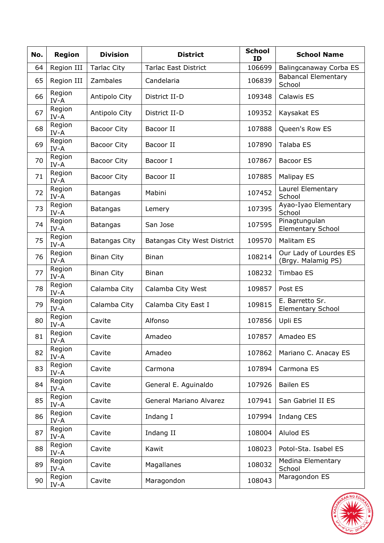| No. | <b>Region</b>           | <b>Division</b>      | <b>District</b>             | <b>School</b><br>ID     | <b>School Name</b>                           |  |
|-----|-------------------------|----------------------|-----------------------------|-------------------------|----------------------------------------------|--|
| 64  | Region III              | <b>Tarlac City</b>   | <b>Tarlac East District</b> | 106699                  | Balingcanaway Corba ES                       |  |
| 65  | Region III              | Zambales             | Candelaria                  | 106839                  | <b>Babancal Elementary</b><br>School         |  |
| 66  | Region<br>$IV-A$        | Antipolo City        | District II-D               | 109348                  | Calawis ES                                   |  |
| 67  | Region<br>IV-A          | Antipolo City        | District II-D               | 109352                  | Kaysakat ES                                  |  |
| 68  | Region<br>$IV-A$        | <b>Bacoor City</b>   | Bacoor II                   | 107888                  | Queen's Row ES                               |  |
| 69  | Region<br>IV-A          | <b>Bacoor City</b>   | Bacoor II                   | 107890                  | Talaba ES                                    |  |
| 70  | Region<br>IV-A          | <b>Bacoor City</b>   | Bacoor I                    | 107867                  | <b>Bacoor ES</b>                             |  |
| 71  | Region<br>IV-A          | <b>Bacoor City</b>   | Bacoor II                   | 107885                  | <b>Malipay ES</b>                            |  |
| 72  | Region<br>IV-A          | <b>Batangas</b>      | Mabini                      | 107452                  | Laurel Elementary<br>School                  |  |
| 73  | Region<br>IV-A          | <b>Batangas</b>      | Lemery                      | 107395                  | Ayao-Iyao Elementary<br>School               |  |
| 74  | Region<br>IV-A          | <b>Batangas</b>      | San Jose                    | 107595                  | Pinagtungulan<br><b>Elementary School</b>    |  |
| 75  | Region<br>IV-A          | <b>Batangas City</b> | Batangas City West District | 109570                  | <b>Malitam ES</b>                            |  |
| 76  | Region<br>$IV-A$        | <b>Binan City</b>    | <b>Binan</b>                | 108214                  | Our Lady of Lourdes ES<br>(Brgy. Malamig PS) |  |
| 77  | Region<br>$IV-A$        | <b>Binan City</b>    | <b>Binan</b>                | 108232                  | Timbao ES                                    |  |
| 78  | Region<br>$IV-A$        | Calamba City         | Calamba City West           | 109857                  | Post ES                                      |  |
| 79  | Region<br>IV-A          | Calamba City         | Calamba City East I         | 109815                  | E. Barretto Sr.<br><b>Elementary School</b>  |  |
| 80  | Region<br>IV-A          | Cavite               | Alfonso                     | 107856                  | Upli ES                                      |  |
| 81  | Region<br>IV-A          | Cavite               | Amadeo                      | 107857                  | Amadeo ES                                    |  |
| 82  | Region<br>IV-A          | Cavite               | Amadeo                      | 107862                  | Mariano C. Anacay ES                         |  |
| 83  | Region<br>$\text{IV-A}$ | Cavite               | Carmona                     | 107894                  | Carmona ES                                   |  |
| 84  | Region<br>IV-A          | Cavite               | General E. Aguinaldo        | 107926                  | <b>Bailen ES</b>                             |  |
| 85  | Region<br>IV-A          | Cavite               | General Mariano Alvarez     | 107941                  | San Gabriel II ES                            |  |
| 86  | Region<br>IV-A          | Cavite               | Indang I                    | 107994                  | <b>Indang CES</b>                            |  |
| 87  | Region<br>IV-A          | Cavite               | Indang II                   | 108004                  | Alulod ES                                    |  |
| 88  | Region<br>IV-A          | Cavite               | Kawit                       | 108023                  | Potol-Sta. Isabel ES                         |  |
| 89  | Region<br>IV-A          | Magallanes<br>Cavite |                             | 108032                  | Medina Elementary<br>School                  |  |
| 90  | Region<br>IV-A          | Cavite               | Maragondon                  | Maragondon ES<br>108043 |                                              |  |

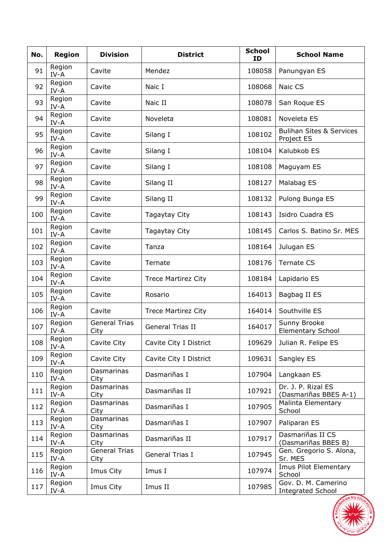| No. | <b>Region</b>    | <b>Division</b>              | <b>District</b>            | <b>School</b><br>ID | <b>School Name</b>                                |  |
|-----|------------------|------------------------------|----------------------------|---------------------|---------------------------------------------------|--|
| 91  | Region<br>$IV-A$ | Cavite                       | Mendez                     | 108058              | Panungyan ES                                      |  |
| 92  | Region<br>$IV-A$ | Cavite                       | Naic I                     | 108068              | Naic CS                                           |  |
| 93  | Region<br>$IV-A$ | Cavite                       | Naic II                    | 108078              | San Roque ES                                      |  |
| 94  | Region<br>$IV-A$ | Cavite                       | Noveleta                   | 108081              | Noveleta ES                                       |  |
| 95  | Region<br>IV-A   | Cavite                       | Silang I                   | 108102              | <b>Bulihan Sites &amp; Services</b><br>Project ES |  |
| 96  | Region<br>IV-A   | Cavite                       | Silang I                   | 108104              | Kalubkob ES                                       |  |
| 97  | Region<br>IV-A   | Cavite                       | Silang I                   | 108108              | Maguyam ES                                        |  |
| 98  | Region<br>IV-A   | Cavite                       | Silang II                  | 108127              | Malabag ES                                        |  |
| 99  | Region<br>IV-A   | Cavite                       | Silang II                  | 108132              | Pulong Bunga ES                                   |  |
| 100 | Region<br>IV-A   | Cavite                       | Tagaytay City              | 108143              | Isidro Cuadra ES                                  |  |
| 101 | Region<br>IV-A   | Cavite                       | Tagaytay City              | 108145              | Carlos S. Batino Sr. MES                          |  |
| 102 | Region<br>IV-A   | Cavite                       | Tanza                      | 108164              | Julugan ES                                        |  |
| 103 | Region<br>IV-A   | Cavite                       | Ternate                    | 108176              | <b>Ternate CS</b>                                 |  |
| 104 | Region<br>IV-A   | Cavite                       | <b>Trece Martirez City</b> | 108184              | Lapidario ES                                      |  |
| 105 | Region<br>IV-A   | Cavite                       | Rosario                    | 164013              | Bagbag II ES                                      |  |
| 106 | Region<br>$IV-A$ | Cavite                       | <b>Trece Martirez City</b> | 164014              | Southville ES                                     |  |
| 107 | Region<br>IV-A   | <b>General Trias</b><br>City | <b>General Trias II</b>    | 164017              | Sunny Brooke<br><b>Elementary School</b>          |  |
| 108 | Region<br>IV-A   | Cavite City                  | Cavite City I District     | 109629              | Julian R. Felipe ES                               |  |
| 109 | Region<br>IV-A   | Cavite City                  | Cavite City I District     | 109631              | Sangley ES                                        |  |
| 110 | Region<br>IV-A   | Dasmarinas<br>City           | Dasmariñas I               | 107904              | Langkaan ES                                       |  |
| 111 | Region<br>IV-A   | Dasmarinas<br>City           | Dasmariñas II              | 107921              | Dr. J. P. Rizal ES<br>(Dasmariñas BBES A-1)       |  |
| 112 | Region<br>IV-A   | Dasmarinas<br>City           | Dasmariñas I               | 107905              | Malinta Elementary<br>School                      |  |
| 113 | Region<br>IV-A   | Dasmarinas<br>City           | Dasmariñas I               | 107907              | Paliparan ES                                      |  |
| 114 | Region<br>IV-A   | Dasmarinas<br>City           | Dasmariñas II              | 107917              | Dasmariñas II CS<br>(Dasmariñas BBES B)           |  |
| 115 | Region<br>IV-A   | <b>General Trias</b><br>City | General Trias I            | 107945              | Gen. Gregorio S. Alona,<br>Sr. MES                |  |
| 116 | Region<br>IV-A   | Imus City                    | Imus I                     | 107974              | Imus Pilot Elementary<br>School                   |  |
| 117 | Region<br>IV-A   | Imus City                    | Imus II                    | 107985              | Gov. D. M. Camerino<br><b>Integrated School</b>   |  |

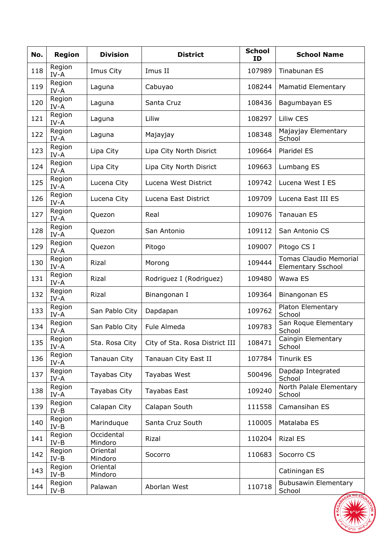| No. | <b>Region</b>    | <b>Division</b>       | <b>District</b>                | <b>School</b><br><b>ID</b> | <b>School Name</b>                                         |  |
|-----|------------------|-----------------------|--------------------------------|----------------------------|------------------------------------------------------------|--|
| 118 | Region<br>IV-A   | Imus City             | Imus II                        | 107989                     | Tinabunan ES                                               |  |
| 119 | Region<br>$IV-A$ | Laguna                | Cabuyao                        | 108244                     | <b>Mamatid Elementary</b>                                  |  |
| 120 | Region<br>$IV-A$ | Laguna                | Santa Cruz                     | 108436                     | Bagumbayan ES                                              |  |
| 121 | Region<br>$IV-A$ | Laguna                | Liliw                          | 108297                     | Liliw CES                                                  |  |
| 122 | Region<br>$IV-A$ | Laguna                | Majayjay                       | 108348                     | Majayjay Elementary<br>School                              |  |
| 123 | Region<br>IV-A   | Lipa City             | Lipa City North Disrict        | 109664                     | Plaridel ES                                                |  |
| 124 | Region<br>IV-A   | Lipa City             | Lipa City North Disrict        | 109663                     | Lumbang ES                                                 |  |
| 125 | Region<br>IV-A   | Lucena City           | Lucena West District           | 109742                     | Lucena West I ES                                           |  |
| 126 | Region<br>IV-A   | Lucena City           | Lucena East District           | 109709                     | Lucena East III ES                                         |  |
| 127 | Region<br>IV-A   | Quezon                | Real                           | 109076                     | <b>Tanauan ES</b>                                          |  |
| 128 | Region<br>$IV-A$ | Quezon                | San Antonio                    | 109112                     | San Antonio CS                                             |  |
| 129 | Region<br>$IV-A$ | Quezon                | Pitogo                         | 109007                     | Pitogo CS I                                                |  |
| 130 | Region<br>IV-A   | Rizal                 | Morong                         | 109444                     | <b>Tomas Claudio Memorial</b><br><b>Elementary Sschool</b> |  |
| 131 | Region<br>IV-A   | Rizal                 | Rodriguez I (Rodriguez)        | 109480                     | Wawa ES                                                    |  |
| 132 | Region<br>IV-A   | Rizal                 | Binangonan I                   | 109364                     | Binangonan ES                                              |  |
| 133 | Region<br>IV-A   | San Pablo City        | Dapdapan                       | 109762                     | Platon Elementary<br>School                                |  |
| 134 | Region<br>IV-A   | San Pablo City        | Fule Almeda                    | 109783                     | San Roque Elementary<br>School                             |  |
| 135 | Region<br>IV-A   | Sta. Rosa City        | City of Sta. Rosa District III | 108471                     | Caingin Elementary<br>School                               |  |
| 136 | Region<br>IV-A   | Tanauan City          | Tanauan City East II           | 107784                     | <b>Tinurik ES</b>                                          |  |
| 137 | Region<br>IV-A   | Tayabas City          | Tayabas West                   | 500496                     | Dapdap Integrated<br>School                                |  |
| 138 | Region<br>IV-A   | Tayabas City          | <b>Tayabas East</b>            | 109240                     | North Palale Elementary<br>School                          |  |
| 139 | Region<br>$IV-B$ | Calapan City          | Calapan South                  | 111558                     | Camansihan ES                                              |  |
| 140 | Region<br>$IV-B$ | Marinduque            | Santa Cruz South               | 110005                     | Matalaba ES                                                |  |
| 141 | Region<br>$IV-B$ | Occidental<br>Mindoro | Rizal                          | 110204                     | <b>Rizal ES</b>                                            |  |
| 142 | Region<br>$IV-B$ | Oriental<br>Mindoro   | Socorro                        | 110683                     | Socorro CS                                                 |  |
| 143 | Region<br>$IV-B$ | Oriental<br>Mindoro   |                                |                            | Catiningan ES                                              |  |
| 144 | Region<br>$IV-B$ | Palawan               | Aborlan West                   |                            | <b>Bubusawin Elementary</b><br>School                      |  |

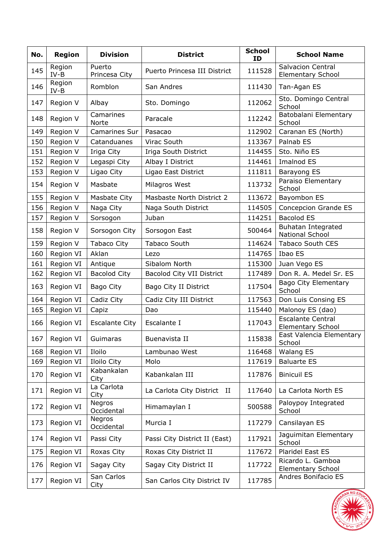| No. | <b>Region</b>    | <b>Division</b>         | <b>District</b>               | <b>School</b><br>ID | <b>School Name</b>                                   |  |
|-----|------------------|-------------------------|-------------------------------|---------------------|------------------------------------------------------|--|
| 145 | Region<br>$IV-B$ | Puerto<br>Princesa City | Puerto Princesa III District  | 111528              | <b>Salvacion Central</b><br><b>Elementary School</b> |  |
| 146 | Region<br>$IV-B$ | Romblon                 | San Andres                    | 111430              | Tan-Agan ES                                          |  |
| 147 | Region V         | Albay                   | Sto. Domingo                  | 112062              | Sto. Domingo Central<br>School                       |  |
| 148 | Region V         | Camarines<br>Norte      | Paracale                      | 112242              | Batobalani Elementary<br>School                      |  |
| 149 | Region V         | Camarines Sur           | Pasacao                       | 112902              | Caranan ES (North)                                   |  |
| 150 | Region V         | Catanduanes             | Virac South                   | 113367              | Palnab ES                                            |  |
| 151 | Region V         | Iriga City              | Iriga South District          | 114455              | Sto. Niño ES                                         |  |
| 152 | Region V         | Legaspi City            | Albay I District              | 114461              | Imalnod ES                                           |  |
| 153 | Region V         | Ligao City              | Ligao East District           | 111811              | Barayong ES                                          |  |
| 154 | Region V         | Masbate                 | Milagros West                 | 113732              | Paraiso Elementary<br>School                         |  |
| 155 | Region V         | Masbate City            | Masbaste North District 2     | 113672              | Bayombon ES                                          |  |
| 156 | Region V         | Naga City               | Naga South District           | 114505              | Concepcion Grande ES                                 |  |
| 157 | Region V         | Sorsogon                | Juban                         | 114251              | <b>Bacolod ES</b>                                    |  |
| 158 | Region V         | Sorsogon City           | Sorsogon East                 | 500464              | <b>Buhatan Integrated</b><br>National School         |  |
| 159 | Region V         | <b>Tabaco City</b>      | Tabaco South                  | 114624              | <b>Tabaco South CES</b>                              |  |
| 160 | Region VI        | Aklan                   | Lezo                          | 114765              | Ibao ES                                              |  |
| 161 | Region VI        | Antique                 | Sibalom North                 | 115300              | Juan Vego ES                                         |  |
| 162 | Region VI        | <b>Bacolod City</b>     | Bacolod City VII District     | 117489              | Don R. A. Medel Sr. ES                               |  |
| 163 | Region VI        | Bago City               | Bago City II District         | 117504              | Bago City Elementary<br>School                       |  |
| 164 | Region VI        | Cadiz City              | Cadiz City III District       | 117563              | Don Luis Consing ES                                  |  |
| 165 | Region VI        | Capiz                   | Dao                           | 115440              | Malonoy ES (dao)                                     |  |
| 166 | Region VI        | <b>Escalante City</b>   | Escalante I                   | 117043              | <b>Escalante Central</b><br><b>Elementary School</b> |  |
| 167 | Region VI        | Guimaras                | Buenavista II                 | 115838              | East Valencia Elementary<br>School                   |  |
| 168 | Region VI        | Iloilo                  | Lambunao West                 | 116468              | <b>Walang ES</b>                                     |  |
| 169 | Region VI        | Iloilo City             | Molo                          | 117619              | <b>Baluarte ES</b>                                   |  |
| 170 | Region VI        | Kabankalan<br>City      | Kabankalan III                | 117876              | <b>Binicuil ES</b>                                   |  |
| 171 | Region VI        | La Carlota<br>City      | La Carlota City District II   | 117640              | La Carlota North ES                                  |  |
| 172 | Region VI        | Negros<br>Occidental    | Himamaylan I                  | 500588              | Paloypoy Integrated<br>School                        |  |
| 173 | Region VI        | Negros<br>Occidental    | Murcia I                      | 117279              | Cansilayan ES                                        |  |
| 174 | Region VI        | Passi City              | Passi City District II (East) | 117921              | Jaguimitan Elementary<br>School                      |  |
| 175 | Region VI        | Roxas City              | Roxas City District II        | 117672              | Plaridel East ES                                     |  |
| 176 | Region VI        | Sagay City              | Sagay City District II        | 117722              | Ricardo L. Gamboa<br><b>Elementary School</b>        |  |
| 177 | Region VI        | San Carlos<br>City      | San Carlos City District IV   | 117785              | Andres Bonifacio ES                                  |  |

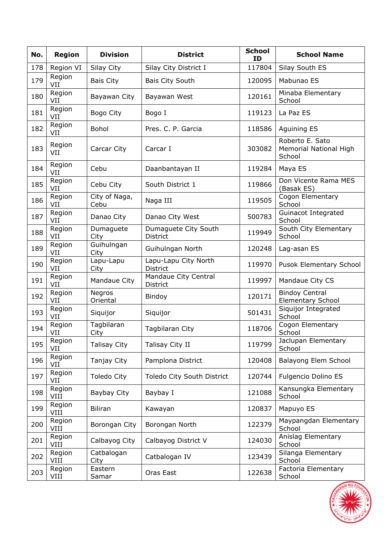| No. | <b>Region</b>  | <b>Division</b>       | <b>District</b>                            | <b>School</b><br>ID                     | <b>School Name</b>                                  |  |
|-----|----------------|-----------------------|--------------------------------------------|-----------------------------------------|-----------------------------------------------------|--|
| 178 | Region VI      | Silay City            | Silay City District I                      | 117804                                  | Silay South ES                                      |  |
| 179 | Region<br>VII  | <b>Bais City</b>      | Bais City South                            | 120095                                  | Mabunao ES                                          |  |
| 180 | Region<br>VII  | Bayawan City          | Bayawan West                               | 120161                                  | Minaba Elementary<br>School                         |  |
| 181 | Region<br>VII  | Bogo City             | Bogo I                                     | 119123                                  | La Paz ES                                           |  |
| 182 | Region<br>VII  | <b>Bohol</b>          | Pres. C. P. Garcia                         | 118586                                  | <b>Aquining ES</b>                                  |  |
| 183 | Region<br>VII  | Carcar City           | Carcar I                                   | 303082                                  | Roberto E. Sato<br>Memorial National High<br>School |  |
| 184 | Region<br>VII  | Cebu                  | Daanbantayan II                            | 119284                                  | Maya ES                                             |  |
| 185 | Region<br>VII  | Cebu City             | South District 1                           | 119866                                  | Don Vicente Rama MES<br>(Basak ES)                  |  |
| 186 | Region<br>VII  | City of Naga,<br>Cebu | Naga III                                   | 119505                                  | Cogon Elementary<br>School                          |  |
| 187 | Region<br>VII  | Danao City            | Danao City West                            | 500783                                  | Guinacot Integrated<br>School                       |  |
| 188 | Region<br>VII  | Dumaguete<br>City     | Dumaguete City South<br><b>District</b>    | 119949                                  | South City Elementary<br>School                     |  |
| 189 | Region<br>VII  | Guihulngan<br>City    | Guihulngan North<br>120248                 |                                         | Lag-asan ES                                         |  |
| 190 | Region<br>VII  | Lapu-Lapu<br>City     | Lapu-Lapu City North<br>119970<br>District |                                         | Pusok Elementary School                             |  |
| 191 | Region<br>VII  | Mandaue City          | Mandaue City Central<br>District           | 119997                                  | Mandaue City CS                                     |  |
| 192 | Region<br>VII  | Negros<br>Oriental    | Bindoy                                     | 120171                                  | <b>Bindoy Central</b><br><b>Elementary School</b>   |  |
| 193 | Region<br>VII  | Siquijor              | Siquijor                                   | 501431                                  | Siquijor Integrated<br>School                       |  |
| 194 | Region<br>VII  | Tagbilaran<br>City    | Tagbilaran City                            | 118706                                  | Cogon Elementary<br>School                          |  |
| 195 | Region<br>VII  | <b>Talisay City</b>   | Talisay City II                            | 119799                                  | Jaclupan Elementary<br>School                       |  |
| 196 | Region<br>VII  | Tanjay City           | Pamplona District                          | 120408                                  | Balayong Elem School                                |  |
| 197 | Region<br>VII  | Toledo City           | Toledo City South District                 | 120744                                  | Fulgencio Dolino ES                                 |  |
| 198 | Region<br>VIII | Baybay City           | Baybay I                                   | 121088                                  | Kansungka Elementary<br>School                      |  |
| 199 | Region<br>VIII | <b>Biliran</b>        | Kawayan                                    | 120837                                  | Mapuyo ES                                           |  |
| 200 | Region<br>VIII | Borongan City         | Borongan North                             | 122379                                  | Maypangdan Elementary<br>School                     |  |
| 201 | Region<br>VIII | Calbayog City         | Calbayog District V                        | 124030                                  | Anislag Elementary<br>School                        |  |
| 202 | Region<br>VIII | Catbalogan<br>City    | Catbalogan IV                              | 123439                                  | Silanga Elementary<br>School                        |  |
| 203 | Region<br>VIII | Eastern<br>Samar      | Oras East                                  | Factoria Elementary<br>122638<br>School |                                                     |  |

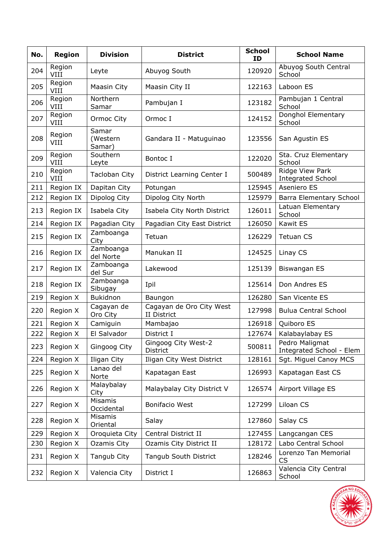| No. | <b>Region</b>  | <b>Division</b>             | <b>District</b>                         | <b>School</b><br>ID | <b>School Name</b>                          |  |
|-----|----------------|-----------------------------|-----------------------------------------|---------------------|---------------------------------------------|--|
| 204 | Region<br>VIII | Leyte                       | Abuyog South                            | 120920              | Abuyog South Central<br>School              |  |
| 205 | Region<br>VIII | Maasin City                 | Maasin City II                          | 122163              | Laboon ES                                   |  |
| 206 | Region<br>VIII | Northern<br>Samar           | Pambujan I                              | 123182              | Pambujan 1 Central<br>School                |  |
| 207 | Region<br>VIII | Ormoc City                  | Ormoc I                                 | 124152              | Donghol Elementary<br>School                |  |
| 208 | Region<br>VIII | Samar<br>(Western<br>Samar) | Gandara II - Matuguinao                 | 123556              | San Agustin ES                              |  |
| 209 | Region<br>VIII | Southern<br>Leyte           | Bontoc I                                | 122020              | Sta. Cruz Elementary<br>School              |  |
| 210 | Region<br>VIII | Tacloban City               | District Learning Center I              | 500489              | Ridge View Park<br><b>Integrated School</b> |  |
| 211 | Region IX      | Dapitan City                | Potungan                                | 125945              | Aseniero ES                                 |  |
| 212 | Region IX      | Dipolog City                | Dipolog City North                      | 125979              | Barra Elementary School                     |  |
| 213 | Region IX      | Isabela City                | Isabela City North District             | 126011              | Latuan Elementary<br>School                 |  |
| 214 | Region IX      | Pagadian City               | Pagadian City East District             | 126050              | Kawit ES                                    |  |
| 215 | Region IX      | Zamboanga<br>City           | Tetuan                                  | 126229              | <b>Tetuan CS</b>                            |  |
| 216 | Region IX      | Zamboanga<br>del Norte      | Manukan II                              | 124525              | Linay CS                                    |  |
| 217 | Region IX      | Zamboanga<br>del Sur        | Lakewood                                | 125139              | <b>Biswangan ES</b>                         |  |
| 218 | Region IX      | Zamboanga<br>Sibugay        | Ipil                                    | 125614              | Don Andres ES                               |  |
| 219 | Region X       | <b>Bukidnon</b>             | Baungon                                 | 126280              | San Vicente ES                              |  |
| 220 | Region X       | Cagayan de<br>Oro City      | Cagayan de Oro City West<br>II District | 127998              | <b>Bulua Central School</b>                 |  |
| 221 | Region X       | Camiguin                    | Mambajao                                | 126918              | Quiboro ES                                  |  |
| 222 | Region X       | El Salvador                 | District I                              | 127674              | Kalabaylabay ES                             |  |
| 223 | Region X       | Gingoog City                | Gingoog City West-2<br><b>District</b>  | 500811              | Pedro Maligmat<br>Integrated School - Elem  |  |
| 224 | Region X       | Iligan City                 | Iligan City West District               | 128161              | Sgt. Miguel Canoy MCS                       |  |
| 225 | Region X       | Lanao del<br>Norte          | Kapatagan East                          | 126993              | Kapatagan East CS                           |  |
| 226 | Region X       | Malaybalay<br>City          | Malaybalay City District V              | 126574              | Airport Village ES                          |  |
| 227 | Region X       | Misamis<br>Occidental       | Bonifacio West                          | 127299              | Liloan CS                                   |  |
| 228 | Region X       | Misamis<br>Oriental         | Salay                                   | 127860              | Salay CS                                    |  |
| 229 | Region X       | Oroquieta City              | Central District II                     | 127455              | Langcangan CES                              |  |
| 230 | Region X       | Ozamis City                 | Ozamis City District II                 | 128172              | Labo Central School                         |  |
| 231 | Region X       | Tangub City                 | Tangub South District                   | 128246              | Lorenzo Tan Memorial<br><b>CS</b>           |  |
| 232 | Region X       | Valencia City               | District I                              | 126863              | Valencia City Central<br>School             |  |

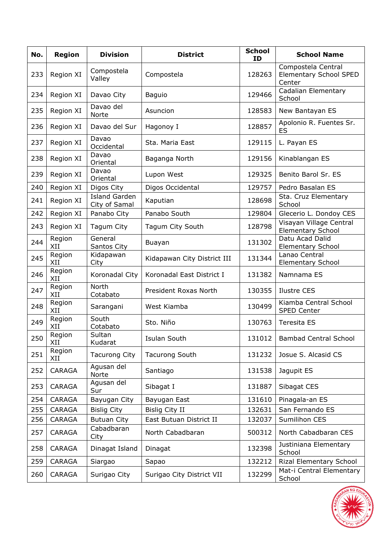| No. | <b>Region</b> | <b>Division</b>                       | <b>District</b>             | <b>School</b><br><b>ID</b> | <b>School Name</b>                                            |  |
|-----|---------------|---------------------------------------|-----------------------------|----------------------------|---------------------------------------------------------------|--|
| 233 | Region XI     | Compostela<br>Valley                  | Compostela                  | 128263                     | Compostela Central<br><b>Elementary School SPED</b><br>Center |  |
| 234 | Region XI     | Davao City                            | <b>Baguio</b>               | 129466                     | Cadalian Elementary<br>School                                 |  |
| 235 | Region XI     | Davao del<br>Norte                    | Asuncion                    | 128583                     | New Bantayan ES                                               |  |
| 236 | Region XI     | Davao del Sur                         | Hagonoy I                   | 128857                     | Apolonio R. Fuentes Sr.<br>ES                                 |  |
| 237 | Region XI     | Davao<br>Occidental                   | Sta. Maria East             | 129115                     | L. Payan ES                                                   |  |
| 238 | Region XI     | Davao<br>Oriental                     | Baganga North               | 129156                     | Kinablangan ES                                                |  |
| 239 | Region XI     | Davao<br>Oriental                     | Lupon West                  | 129325                     | Benito Barol Sr. ES                                           |  |
| 240 | Region XI     | Digos City                            | Digos Occidental            | 129757                     | Pedro Basalan ES                                              |  |
| 241 | Region XI     | <b>Island Garden</b><br>City of Samal | Kaputian                    | 128698                     | Sta. Cruz Elementary<br>School                                |  |
| 242 | Region XI     | Panabo City                           | Panabo South                | 129804                     | Glecerio L. Dondoy CES                                        |  |
| 243 | Region XI     | Tagum City                            | Tagum City South            | 128798                     | Visayan Village Central<br><b>Elementary School</b>           |  |
| 244 | Region<br>XII | General<br>Santos City                | Buayan                      | 131302                     | Datu Acad Dalid<br><b>Elementary School</b>                   |  |
| 245 | Region<br>XII | Kidapawan<br>City                     | Kidapawan City District III | 131344                     | Lanao Central<br><b>Elementary School</b>                     |  |
| 246 | Region<br>XII | Koronadal City                        | Koronadal East District I   | 131382                     | Namnama ES                                                    |  |
| 247 | Region<br>XII | North<br>Cotabato                     | President Roxas North       | 130355                     | <b>Ilustre CES</b>                                            |  |
| 248 | Region<br>XII | Sarangani                             | West Kiamba                 | 130499                     | Kiamba Central School<br>SPED Center                          |  |
| 249 | Region<br>XII | South<br>Cotabato                     | Sto. Niño                   | 130763                     | Teresita ES                                                   |  |
| 250 | Region<br>XII | Sultan<br>Kudarat                     | Isulan South                | 131012                     | <b>Bambad Central School</b>                                  |  |
| 251 | Region<br>XII | <b>Tacurong City</b>                  | <b>Tacurong South</b>       | 131232                     | Josue S. Alcasid CS                                           |  |
| 252 | CARAGA        | Agusan del<br>Norte                   | Santiago                    | 131538                     | Jagupit ES                                                    |  |
| 253 | CARAGA        | Agusan del<br>Sur                     | Sibagat I                   | 131887                     | Sibagat CES                                                   |  |
| 254 | CARAGA        | Bayugan City                          | Bayugan East                | 131610                     | Pinagala-an ES                                                |  |
| 255 | <b>CARAGA</b> | <b>Bislig City</b>                    | <b>Bislig City II</b>       | 132631                     | San Fernando ES                                               |  |
| 256 | CARAGA        | <b>Butuan City</b>                    | East Butuan District II     | 132037                     | Sumilihon CES                                                 |  |
| 257 | CARAGA        | Cabadbaran<br>City                    | North Cabadbaran            | 500312                     | North Cabadbaran CES                                          |  |
| 258 | CARAGA        | Dinagat Island                        | Dinagat                     | 132398                     | Justiniana Elementary<br>School                               |  |
| 259 | CARAGA        | Siargao                               | Sapao                       | 132212                     | Rizal Elementary School                                       |  |
| 260 | CARAGA        | Surigao City                          | Surigao City District VII   | 132299                     | Mat-i Central Elementary<br>School                            |  |

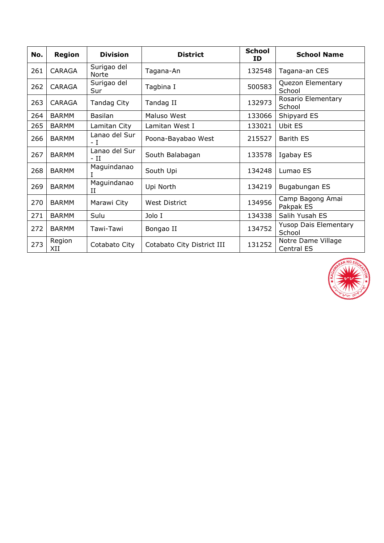| No. | <b>Region</b> | <b>Division</b>       | <b>District</b>            | <b>School</b><br>ID | <b>School Name</b>                     |
|-----|---------------|-----------------------|----------------------------|---------------------|----------------------------------------|
| 261 | CARAGA        | Surigao del<br>Norte  | Tagana-An                  | 132548              | Tagana-an CES                          |
| 262 | <b>CARAGA</b> | Surigao del<br>Sur    | Tagbina I                  | 500583              | Quezon Elementary<br>School            |
| 263 | CARAGA        | Tandag City           | Tandag II                  | 132973              | Rosario Elementary<br>School           |
| 264 | <b>BARMM</b>  | Basilan               | Maluso West                | 133066              | Shipyard ES                            |
| 265 | <b>BARMM</b>  | Lamitan City          | Lamitan West I             | 133021              | <b>Ubit ES</b>                         |
| 266 | <b>BARMM</b>  | Lanao del Sur<br>– T  | Poona-Bayabao West         | 215527              | Barith ES                              |
| 267 | <b>BARMM</b>  | Lanao del Sur<br>- II | South Balabagan            | 133578              | Igabay ES                              |
| 268 | <b>BARMM</b>  | Maguindanao<br>I      | South Upi                  | 134248              | Lumao ES                               |
| 269 | <b>BARMM</b>  | Maguindanao<br>и      | Upi North                  | 134219              | Bugabungan ES                          |
| 270 | <b>BARMM</b>  | Marawi City           | <b>West District</b>       | 134956              | Camp Bagong Amai<br>Pakpak ES          |
| 271 | <b>BARMM</b>  | Sulu                  | Jolo I                     | 134338              | Salih Yusah ES                         |
| 272 | <b>BARMM</b>  | Tawi-Tawi             | Bongao II                  | 134752              | <b>Yusop Dais Elementary</b><br>School |
| 273 | Region<br>XII | Cotabato City         | Cotabato City District III | 131252              | Notre Dame Village<br>Central ES       |

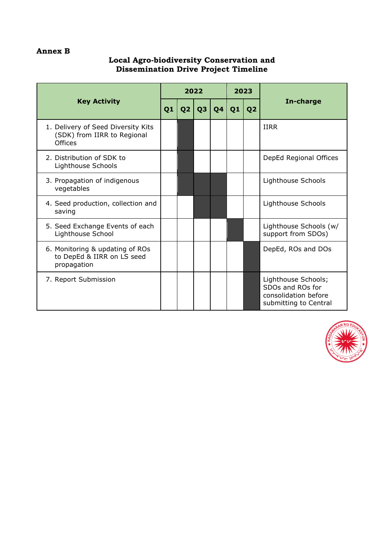# **Annex B**

#### **Local Agro-biodiversity Conservation and Dissemination Drive Project Timeline**

| <b>Key Activity</b>                                                          |  |    | 2022 |    | 2023 |                |                                                                                          |  |
|------------------------------------------------------------------------------|--|----|------|----|------|----------------|------------------------------------------------------------------------------------------|--|
|                                                                              |  | Q2 | Q3   | Q4 | Q1   | Q <sub>2</sub> | In-charge                                                                                |  |
| 1. Delivery of Seed Diversity Kits<br>(SDK) from IIRR to Regional<br>Offices |  |    |      |    |      |                | <b>IIRR</b>                                                                              |  |
| 2. Distribution of SDK to<br>Lighthouse Schools                              |  |    |      |    |      |                | DepEd Regional Offices                                                                   |  |
| 3. Propagation of indigenous<br>vegetables                                   |  |    |      |    |      |                | Lighthouse Schools                                                                       |  |
| 4. Seed production, collection and<br>saving                                 |  |    |      |    |      |                | Lighthouse Schools                                                                       |  |
| 5. Seed Exchange Events of each<br>Lighthouse School                         |  |    |      |    |      |                | Lighthouse Schools (w/<br>support from SDOs)                                             |  |
| 6. Monitoring & updating of ROs<br>to DepEd & IIRR on LS seed<br>propagation |  |    |      |    |      |                | DepEd, ROs and DOs                                                                       |  |
| 7. Report Submission                                                         |  |    |      |    |      |                | Lighthouse Schools;<br>SDOs and ROs for<br>consolidation before<br>submitting to Central |  |

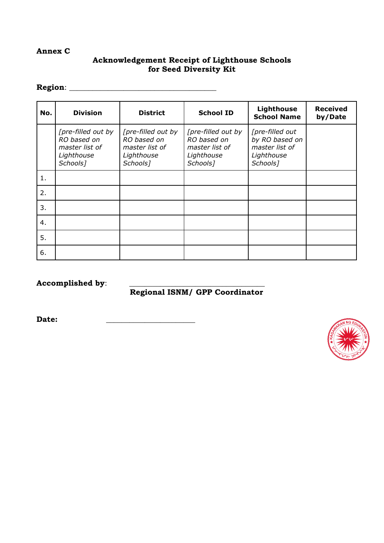#### **Annex C**

# **Acknowledgement Receipt of Lighthouse Schools for Seed Diversity Kit**

#### **Region**: \_\_\_\_\_\_\_\_\_\_\_\_\_\_\_\_\_\_\_\_\_\_\_\_\_\_\_\_\_\_\_\_\_\_\_\_\_\_

| No. | <b>Division</b>                                                                           | <b>District</b>                                                                           | <b>School ID</b>                                                                          | <b>Lighthouse</b><br><b>School Name</b>                                                   | <b>Received</b><br>by/Date |
|-----|-------------------------------------------------------------------------------------------|-------------------------------------------------------------------------------------------|-------------------------------------------------------------------------------------------|-------------------------------------------------------------------------------------------|----------------------------|
|     | [pre-filled out by<br>RO based on<br>master list of<br>Lighthouse<br>Schools <sub>7</sub> | [pre-filled out by<br>RO based on<br>master list of<br>Lighthouse<br>Schools <sub>7</sub> | [pre-filled out by<br>RO based on<br>master list of<br>Lighthouse<br>Schools <sub>7</sub> | [pre-filled out<br>by RO based on<br>master list of<br>Lighthouse<br>Schools <sub>7</sub> |                            |
| 1.  |                                                                                           |                                                                                           |                                                                                           |                                                                                           |                            |
| 2.  |                                                                                           |                                                                                           |                                                                                           |                                                                                           |                            |
| 3.  |                                                                                           |                                                                                           |                                                                                           |                                                                                           |                            |
| 4.  |                                                                                           |                                                                                           |                                                                                           |                                                                                           |                            |
| 5.  |                                                                                           |                                                                                           |                                                                                           |                                                                                           |                            |
| 6.  |                                                                                           |                                                                                           |                                                                                           |                                                                                           |                            |

Accomplished by:

# **Regional ISNM/ GPP Coordinator**

**Date:** \_\_\_\_\_\_\_\_\_\_\_\_\_\_\_\_\_\_\_\_\_\_\_

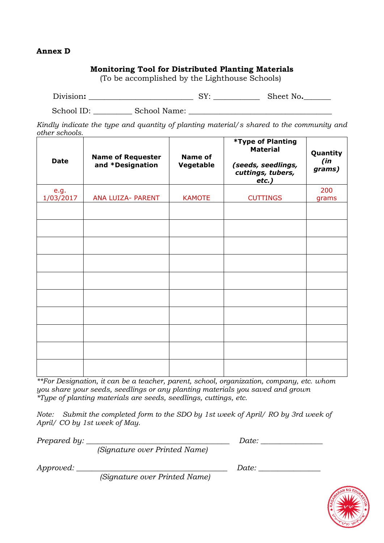#### **Annex D**

### **Monitoring Tool for Distributed Planting Materials**

(To be accomplished by the Lighthouse Schools)

| Division:<br>No.<br>Sheet<br>ັ |
|--------------------------------|
|--------------------------------|

School ID: School Name:  $\Box$ 

*Kindly indicate the type and quantity of planting material/s shared to the community and other schools.*

| Date              | <b>Name of Requester</b><br>and *Designation | <b>Name of</b><br>Vegetable | *Type of Planting<br><b>Material</b><br>(seeds, seedlings,<br>cuttings, tubers,<br>$etc.$ ) | Quantity<br>(in<br>grams) |
|-------------------|----------------------------------------------|-----------------------------|---------------------------------------------------------------------------------------------|---------------------------|
| e.g.<br>1/03/2017 | ANA LUIZA- PARENT                            | <b>KAMOTE</b>               | <b>CUTTINGS</b>                                                                             | 200<br>grams              |
|                   |                                              |                             |                                                                                             |                           |
|                   |                                              |                             |                                                                                             |                           |
|                   |                                              |                             |                                                                                             |                           |
|                   |                                              |                             |                                                                                             |                           |
|                   |                                              |                             |                                                                                             |                           |
|                   |                                              |                             |                                                                                             |                           |
|                   |                                              |                             |                                                                                             |                           |
|                   |                                              |                             |                                                                                             |                           |
|                   |                                              |                             |                                                                                             |                           |
|                   |                                              |                             |                                                                                             |                           |

*\*\*For Designation, it can be a teacher, parent, school, organization, company, etc. whom you share your seeds, seedlings or any planting materials you saved and grown \*Type of planting materials are seeds, seedlings, cuttings, etc.*

*Note:* Submit the completed form to the SDO by 1st week of April/ RO by 3rd week of *April/ CO by 1st week of May.*

*Prepared by: \_\_\_\_\_\_\_\_\_\_\_\_\_\_\_\_\_\_\_\_\_\_\_\_\_\_\_\_\_\_\_\_\_\_\_\_\_ Date: \_\_\_\_\_\_\_\_\_\_\_\_\_\_\_\_*

*(Signature over Printed Name)*

*Approved: \_\_\_\_\_\_\_\_\_\_\_\_\_\_\_\_\_\_\_\_\_\_\_\_\_\_\_\_\_\_\_\_\_\_\_\_\_\_\_ Date: \_\_\_\_\_\_\_\_\_\_\_\_\_\_\_\_*

*(Signature over Printed Name)*

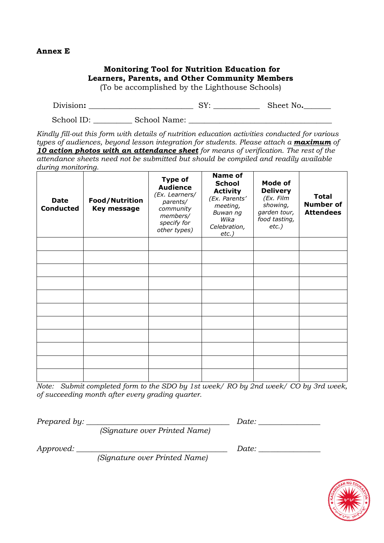#### **Annex E**

#### **Monitoring Tool for Nutrition Education for Learners, Parents, and Other Community Members**  (To be accomplished by the Lighthouse Schools) Division**: \_\_\_\_\_\_\_\_\_\_\_\_\_\_\_\_\_\_\_\_\_\_\_\_\_\_\_** SY: **\_\_\_\_\_\_\_\_\_\_\_\_** Sheet No**.\_\_\_\_\_\_\_**  School ID: School Name: *Kindly fill-out this form with details of nutrition education activities conducted for various types of audiences, beyond lesson integration for students. Please attach a maximum of 10 action photos with an attendance sheet for means of verification. The rest of the attendance sheets need not be submitted but should be compiled and readily available during monitoring.* **Date Conducted Food/Nutrition Key message Type of Audience** *(Ex. Learners/ parents/ community members/ specify for other types)* **Name of School Activity** *(Ex. Parents' meeting, Buwan ng Wika Celebration, etc.)* **Mode of Delivery** *(Ex. Film showing, garden tour, food tasting, etc.)* **Total Number of Attendees**

*Note: Submit completed form to the SDO by 1st week/ RO by 2nd week/ CO by 3rd week, of succeeding month after every grading quarter.*

*Prepared by: \_\_\_\_\_\_\_\_\_\_\_\_\_\_\_\_\_\_\_\_\_\_\_\_\_\_\_\_\_\_\_\_\_\_\_\_\_ Date: \_\_\_\_\_\_\_\_\_\_\_\_\_\_\_\_* 

*(Signature over Printed Name)* 

*Approved: \_\_\_\_\_\_\_\_\_\_\_\_\_\_\_\_\_\_\_\_\_\_\_\_\_\_\_\_\_\_\_\_\_\_\_\_\_\_\_ Date: \_\_\_\_\_\_\_\_\_\_\_\_\_\_\_\_* 

*(Signature over Printed Name)* 

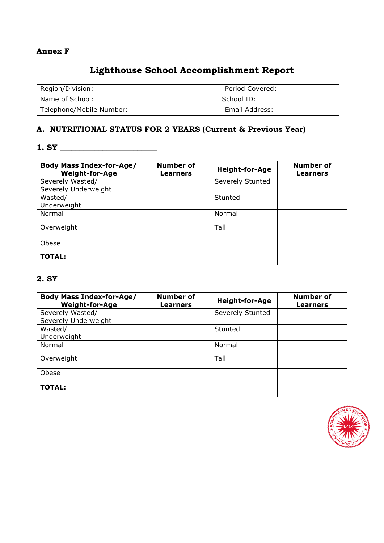#### **Annex F**

# **Lighthouse School Accomplishment Report**

| Region/Division:         | Period Covered: |
|--------------------------|-----------------|
| Name of School:          | School ID:      |
| Telephone/Mobile Number: | Email Address:  |

# **A. NUTRITIONAL STATUS FOR 2 YEARS (Current & Previous Year)**

## **1. SY \_\_\_\_\_\_\_\_\_\_\_\_\_\_\_\_\_\_\_\_\_\_\_\_\_**

| <b>Body Mass Index-for-Age/</b><br><b>Weight-for-Age</b> | Number of<br><b>Learners</b> | <b>Height-for-Age</b> | <b>Number of</b><br><b>Learners</b> |
|----------------------------------------------------------|------------------------------|-----------------------|-------------------------------------|
| Severely Wasted/                                         |                              | Severely Stunted      |                                     |
| Severely Underweight<br>Wasted/<br>Underweight           |                              | Stunted               |                                     |
| Normal                                                   |                              | Normal                |                                     |
| Overweight                                               |                              | Tall                  |                                     |
| Obese                                                    |                              |                       |                                     |
| <b>TOTAL:</b>                                            |                              |                       |                                     |

## **2. SY \_\_\_\_\_\_\_\_\_\_\_\_\_\_\_\_\_\_\_\_\_\_\_\_\_**

| <b>Body Mass Index-for-Age/</b><br><b>Weight-for-Age</b> | Number of<br><b>Learners</b> | <b>Height-for-Age</b> | <b>Number of</b><br><b>Learners</b> |
|----------------------------------------------------------|------------------------------|-----------------------|-------------------------------------|
| Severely Wasted/<br>Severely Underweight                 |                              | Severely Stunted      |                                     |
| Wasted/<br>Underweight                                   |                              | Stunted               |                                     |
| Normal                                                   |                              | Normal                |                                     |
| Overweight                                               |                              | Tall                  |                                     |
| Obese                                                    |                              |                       |                                     |
| <b>TOTAL:</b>                                            |                              |                       |                                     |

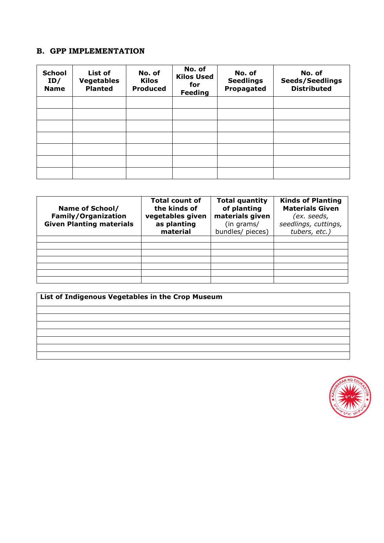# **B. GPP IMPLEMENTATION**

| <b>School</b><br>ID/<br><b>Name</b> | List of<br><b>Vegetables</b><br><b>Planted</b> | No. of<br><b>Kilos</b><br><b>Produced</b> | No. of<br><b>Kilos Used</b><br>for<br><b>Feeding</b> | No. of<br><b>Seedlings</b><br>Propagated | No. of<br><b>Seeds/Seedlings</b><br><b>Distributed</b> |
|-------------------------------------|------------------------------------------------|-------------------------------------------|------------------------------------------------------|------------------------------------------|--------------------------------------------------------|
|                                     |                                                |                                           |                                                      |                                          |                                                        |
|                                     |                                                |                                           |                                                      |                                          |                                                        |
|                                     |                                                |                                           |                                                      |                                          |                                                        |
|                                     |                                                |                                           |                                                      |                                          |                                                        |
|                                     |                                                |                                           |                                                      |                                          |                                                        |
|                                     |                                                |                                           |                                                      |                                          |                                                        |
|                                     |                                                |                                           |                                                      |                                          |                                                        |

| Name of School/<br><b>Family/Organization</b><br><b>Given Planting materials</b> | <b>Total count of</b><br>the kinds of<br>vegetables given<br>as planting<br>material | <b>Total quantity</b><br>of planting<br>materials given<br>(in grams/<br>bundles/ pieces) | <b>Kinds of Planting</b><br><b>Materials Given</b><br>(ex. seeds,<br>seedlings, cuttings,<br>tubers, etc.) |
|----------------------------------------------------------------------------------|--------------------------------------------------------------------------------------|-------------------------------------------------------------------------------------------|------------------------------------------------------------------------------------------------------------|
|                                                                                  |                                                                                      |                                                                                           |                                                                                                            |
|                                                                                  |                                                                                      |                                                                                           |                                                                                                            |
|                                                                                  |                                                                                      |                                                                                           |                                                                                                            |
|                                                                                  |                                                                                      |                                                                                           |                                                                                                            |
|                                                                                  |                                                                                      |                                                                                           |                                                                                                            |
|                                                                                  |                                                                                      |                                                                                           |                                                                                                            |
|                                                                                  |                                                                                      |                                                                                           |                                                                                                            |

| List of Indigenous Vegetables in the Crop Museum |  |  |
|--------------------------------------------------|--|--|
|                                                  |  |  |
|                                                  |  |  |
|                                                  |  |  |
|                                                  |  |  |
|                                                  |  |  |
|                                                  |  |  |
|                                                  |  |  |

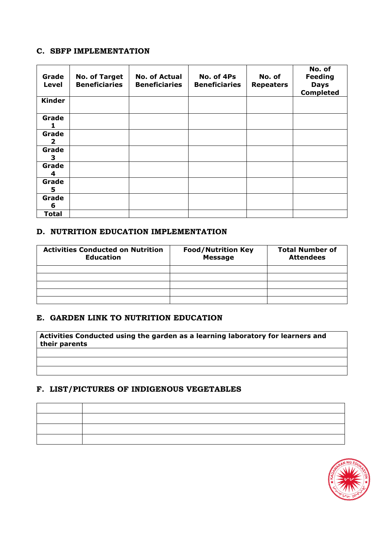#### **C. SBFP IMPLEMENTATION**

| Grade<br>Level        | <b>No. of Target</b><br><b>Beneficiaries</b> | <b>No. of Actual</b><br><b>Beneficiaries</b> | No. of 4Ps<br><b>Beneficiaries</b> | No. of<br><b>Repeaters</b> | No. of<br><b>Feeding</b><br><b>Days</b><br><b>Completed</b> |
|-----------------------|----------------------------------------------|----------------------------------------------|------------------------------------|----------------------------|-------------------------------------------------------------|
| <b>Kinder</b>         |                                              |                                              |                                    |                            |                                                             |
| Grade                 |                                              |                                              |                                    |                            |                                                             |
| Grade<br>$\mathbf{2}$ |                                              |                                              |                                    |                            |                                                             |
| Grade<br>З.           |                                              |                                              |                                    |                            |                                                             |
| Grade<br>4            |                                              |                                              |                                    |                            |                                                             |
| Grade<br>5            |                                              |                                              |                                    |                            |                                                             |
| Grade<br>6            |                                              |                                              |                                    |                            |                                                             |
| <b>Total</b>          |                                              |                                              |                                    |                            |                                                             |

# **D. NUTRITION EDUCATION IMPLEMENTATION**

| <b>Activities Conducted on Nutrition</b><br><b>Education</b> | <b>Food/Nutrition Key</b><br><b>Message</b> | <b>Total Number of</b><br><b>Attendees</b> |
|--------------------------------------------------------------|---------------------------------------------|--------------------------------------------|
|                                                              |                                             |                                            |
|                                                              |                                             |                                            |
|                                                              |                                             |                                            |
|                                                              |                                             |                                            |
|                                                              |                                             |                                            |

#### **E. GARDEN LINK TO NUTRITION EDUCATION**

**Activities Conducted using the garden as a learning laboratory for learners and their parents**

#### **F. LIST/PICTURES OF INDIGENOUS VEGETABLES**